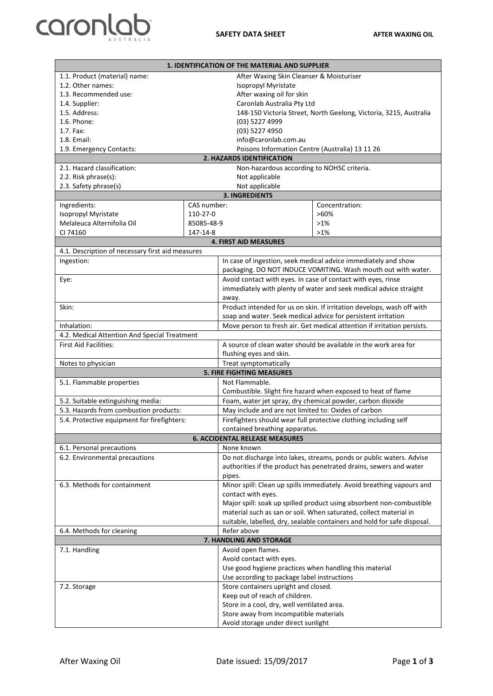

| 1. IDENTIFICATION OF THE MATERIAL AND SUPPLIER                               |             |                                                                                                                             |                                                                   |  |  |
|------------------------------------------------------------------------------|-------------|-----------------------------------------------------------------------------------------------------------------------------|-------------------------------------------------------------------|--|--|
| 1.1. Product (material) name:                                                |             | After Waxing Skin Cleanser & Moisturiser                                                                                    |                                                                   |  |  |
| 1.2. Other names:                                                            |             | Isopropyl Myristate                                                                                                         |                                                                   |  |  |
| 1.3. Recommended use:                                                        |             | After waxing oil for skin                                                                                                   |                                                                   |  |  |
| 1.4. Supplier:                                                               |             | Caronlab Australia Pty Ltd                                                                                                  |                                                                   |  |  |
| 1.5. Address:                                                                |             |                                                                                                                             | 148-150 Victoria Street, North Geelong, Victoria, 3215, Australia |  |  |
| 1.6. Phone:                                                                  |             | (03) 5227 4999                                                                                                              |                                                                   |  |  |
| 1.7. Fax:                                                                    |             | (03) 5227 4950                                                                                                              |                                                                   |  |  |
| 1.8. Email:                                                                  |             | info@caronlab.com.au                                                                                                        |                                                                   |  |  |
| 1.9. Emergency Contacts:                                                     |             | Poisons Information Centre (Australia) 13 11 26                                                                             |                                                                   |  |  |
| 2. HAZARDS IDENTIFICATION                                                    |             |                                                                                                                             |                                                                   |  |  |
| 2.1. Hazard classification:                                                  |             | Non-hazardous according to NOHSC criteria.<br>Not applicable                                                                |                                                                   |  |  |
| 2.2. Risk phrase(s):<br>2.3. Safety phrase(s)                                |             | Not applicable                                                                                                              |                                                                   |  |  |
| <b>3. INGREDIENTS</b>                                                        |             |                                                                                                                             |                                                                   |  |  |
| Ingredients:                                                                 | CAS number: |                                                                                                                             | Concentration:                                                    |  |  |
| Isopropyl Myristate                                                          | 110-27-0    |                                                                                                                             | $>60\%$                                                           |  |  |
| Melaleuca Alternifolia Oil                                                   | 85085-48-9  |                                                                                                                             | $>1\%$                                                            |  |  |
| CI 74160                                                                     | 147-14-8    |                                                                                                                             | $>1\%$                                                            |  |  |
| <b>4. FIRST AID MEASURES</b>                                                 |             |                                                                                                                             |                                                                   |  |  |
| 4.1. Description of necessary first aid measures                             |             |                                                                                                                             |                                                                   |  |  |
| Ingestion:                                                                   |             |                                                                                                                             | In case of ingestion, seek medical advice immediately and show    |  |  |
|                                                                              |             | packaging. DO NOT INDUCE VOMITING. Wash mouth out with water.                                                               |                                                                   |  |  |
| Eye:                                                                         |             | Avoid contact with eyes. In case of contact with eyes, rinse                                                                |                                                                   |  |  |
|                                                                              |             | immediately with plenty of water and seek medical advice straight                                                           |                                                                   |  |  |
|                                                                              |             | away.                                                                                                                       |                                                                   |  |  |
| Skin:                                                                        |             | Product intended for us on skin. If irritation develops, wash off with                                                      |                                                                   |  |  |
|                                                                              |             | soap and water. Seek medical advice for persistent irritation                                                               |                                                                   |  |  |
| Inhalation:                                                                  |             | Move person to fresh air. Get medical attention if irritation persists.                                                     |                                                                   |  |  |
| 4.2. Medical Attention And Special Treatment                                 |             |                                                                                                                             |                                                                   |  |  |
| <b>First Aid Facilities:</b>                                                 |             | A source of clean water should be available in the work area for                                                            |                                                                   |  |  |
|                                                                              |             | flushing eyes and skin.                                                                                                     |                                                                   |  |  |
| Notes to physician                                                           |             | Treat symptomatically                                                                                                       |                                                                   |  |  |
|                                                                              |             | <b>5. FIRE FIGHTING MEASURES</b><br>Not Flammable.                                                                          |                                                                   |  |  |
| 5.1. Flammable properties                                                    |             |                                                                                                                             |                                                                   |  |  |
|                                                                              |             | Combustible. Slight fire hazard when exposed to heat of flame<br>Foam, water jet spray, dry chemical powder, carbon dioxide |                                                                   |  |  |
| 5.2. Suitable extinguishing media:<br>5.3. Hazards from combustion products: |             | May include and are not limited to: Oxides of carbon                                                                        |                                                                   |  |  |
|                                                                              |             | Firefighters should wear full protective clothing including self                                                            |                                                                   |  |  |
| 5.4. Protective equipment for firefighters:                                  |             | contained breathing apparatus.                                                                                              |                                                                   |  |  |
| <b>6. ACCIDENTAL RELEASE MEASURES</b>                                        |             |                                                                                                                             |                                                                   |  |  |
| None known<br>6.1. Personal precautions                                      |             |                                                                                                                             |                                                                   |  |  |
| 6.2. Environmental precautions                                               |             | Do not discharge into lakes, streams, ponds or public waters. Advise                                                        |                                                                   |  |  |
|                                                                              |             | authorities if the product has penetrated drains, sewers and water                                                          |                                                                   |  |  |
|                                                                              |             | pipes.                                                                                                                      |                                                                   |  |  |
| 6.3. Methods for containment                                                 |             | Minor spill: Clean up spills immediately. Avoid breathing vapours and                                                       |                                                                   |  |  |
|                                                                              |             | contact with eyes.                                                                                                          |                                                                   |  |  |
|                                                                              |             | Major spill: soak up spilled product using absorbent non-combustible                                                        |                                                                   |  |  |
|                                                                              |             | material such as san or soil. When saturated, collect material in                                                           |                                                                   |  |  |
|                                                                              |             | suitable, labelled, dry, sealable containers and hold for safe disposal.                                                    |                                                                   |  |  |
| 6.4. Methods for cleaning                                                    |             | Refer above                                                                                                                 |                                                                   |  |  |
| 7. HANDLING AND STORAGE                                                      |             |                                                                                                                             |                                                                   |  |  |
| 7.1. Handling                                                                |             | Avoid open flames.                                                                                                          |                                                                   |  |  |
|                                                                              |             | Avoid contact with eyes.                                                                                                    |                                                                   |  |  |
|                                                                              |             | Use good hygiene practices when handling this material                                                                      |                                                                   |  |  |
|                                                                              |             | Use according to package label instructions                                                                                 |                                                                   |  |  |
| 7.2. Storage                                                                 |             | Store containers upright and closed.                                                                                        |                                                                   |  |  |
|                                                                              |             | Keep out of reach of children.<br>Store in a cool, dry, well ventilated area.                                               |                                                                   |  |  |
|                                                                              |             | Store away from incompatible materials                                                                                      |                                                                   |  |  |
|                                                                              |             | Avoid storage under direct sunlight                                                                                         |                                                                   |  |  |
|                                                                              |             |                                                                                                                             |                                                                   |  |  |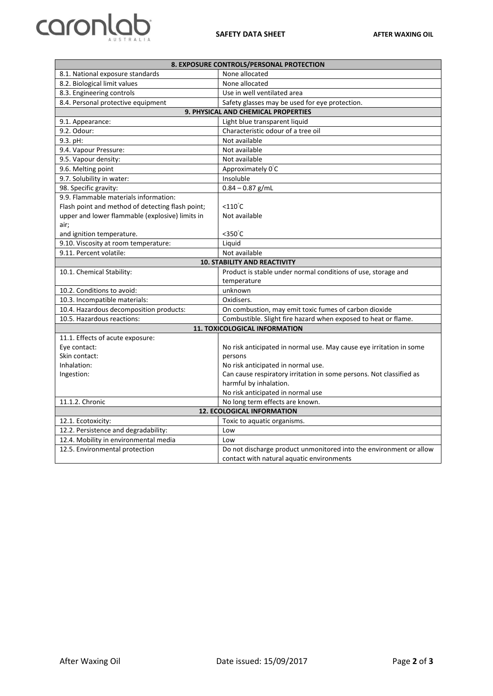## **caronlab**

| 8. EXPOSURE CONTROLS/PERSONAL PROTECTION                                                     |                                                                     |  |  |
|----------------------------------------------------------------------------------------------|---------------------------------------------------------------------|--|--|
| 8.1. National exposure standards                                                             | None allocated                                                      |  |  |
| 8.2. Biological limit values                                                                 | None allocated                                                      |  |  |
| 8.3. Engineering controls                                                                    | Use in well ventilated area                                         |  |  |
| 8.4. Personal protective equipment                                                           | Safety glasses may be used for eye protection.                      |  |  |
| 9. PHYSICAL AND CHEMICAL PROPERTIES                                                          |                                                                     |  |  |
| 9.1. Appearance:                                                                             | Light blue transparent liquid                                       |  |  |
| 9.2. Odour:                                                                                  | Characteristic odour of a tree oil                                  |  |  |
| 9.3. pH:                                                                                     | Not available                                                       |  |  |
| 9.4. Vapour Pressure:                                                                        | Not available                                                       |  |  |
| 9.5. Vapour density:                                                                         | Not available                                                       |  |  |
| 9.6. Melting point                                                                           | Approximately 0°C                                                   |  |  |
| 9.7. Solubility in water:                                                                    | Insoluble                                                           |  |  |
| 98. Specific gravity:                                                                        | $0.84 - 0.87$ g/mL                                                  |  |  |
| 9.9. Flammable materials information:                                                        |                                                                     |  |  |
| Flash point and method of detecting flash point;                                             | $< 110^{\circ}$ C                                                   |  |  |
| upper and lower flammable (explosive) limits in                                              | Not available                                                       |  |  |
| air;                                                                                         |                                                                     |  |  |
| and ignition temperature.                                                                    | $<$ 350 $°C$                                                        |  |  |
| 9.10. Viscosity at room temperature:                                                         | Liquid                                                              |  |  |
| 9.11. Percent volatile:                                                                      | Not available                                                       |  |  |
| <b>10. STABILITY AND REACTIVITY</b>                                                          |                                                                     |  |  |
| 10.1. Chemical Stability:                                                                    | Product is stable under normal conditions of use, storage and       |  |  |
| 10.2. Conditions to avoid:                                                                   | temperature<br>unknown                                              |  |  |
| 10.3. Incompatible materials:                                                                | Oxidisers.                                                          |  |  |
| 10.4. Hazardous decomposition products:                                                      | On combustion, may emit toxic fumes of carbon dioxide               |  |  |
|                                                                                              |                                                                     |  |  |
| Combustible. Slight fire hazard when exposed to heat or flame.<br>10.5. Hazardous reactions: |                                                                     |  |  |
| <b>11. TOXICOLOGICAL INFORMATION</b><br>11.1. Effects of acute exposure:                     |                                                                     |  |  |
| Eye contact:                                                                                 | No risk anticipated in normal use. May cause eye irritation in some |  |  |
| Skin contact:                                                                                | persons                                                             |  |  |
| Inhalation:                                                                                  | No risk anticipated in normal use.                                  |  |  |
| Ingestion:                                                                                   | Can cause respiratory irritation in some persons. Not classified as |  |  |
|                                                                                              | harmful by inhalation.                                              |  |  |
|                                                                                              | No risk anticipated in normal use                                   |  |  |
| 11.1.2. Chronic                                                                              | No long term effects are known.                                     |  |  |
| <b>12. ECOLOGICAL INFORMATION</b>                                                            |                                                                     |  |  |
| 12.1. Ecotoxicity:                                                                           | Toxic to aquatic organisms.                                         |  |  |
| 12.2. Persistence and degradability:                                                         | Low                                                                 |  |  |
| 12.4. Mobility in environmental media                                                        | Low                                                                 |  |  |
| 12.5. Environmental protection                                                               | Do not discharge product unmonitored into the environment or allow  |  |  |
|                                                                                              | contact with natural aquatic environments                           |  |  |